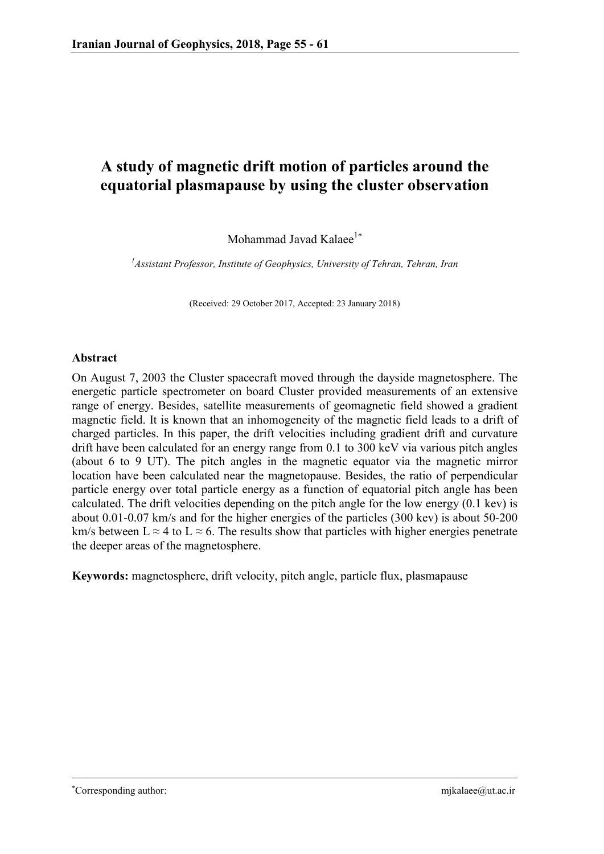# **A study of magnetic drift motion of particles around the equatorial plasmapause by using the cluster observation**

Mohammad Javad Kalaee<sup>1\*</sup>

*1 Assistant Professor, Institute of Geophysics, University of Tehran, Tehran, Iran*

(Received: 29 October 2017, Accepted: 23 January 2018)

# **Abstract**

On August 7, 2003 the Cluster spacecraft moved through the dayside magnetosphere. The energetic particle spectrometer on board Cluster provided measurements of an extensive range of energy. Besides, satellite measurements of geomagnetic field showed a gradient magnetic field. It is known that an inhomogeneity of the magnetic field leads to a drift of charged particles. In this paper, the drift velocities including gradient drift and curvature drift have been calculated for an energy range from 0.1 to 300 keV via various pitch angles (about 6 to 9 UT). The pitch angles in the magnetic equator via the magnetic mirror location have been calculated near the magnetopause. Besides, the ratio of perpendicular particle energy over total particle energy as a function of equatorial pitch angle has been calculated. The drift velocities depending on the pitch angle for the low energy (0.1 kev) is about 0.01-0.07 km/s and for the higher energies of the particles (300 kev) is about 50-200 km/s between L  $\approx$  4 to L  $\approx$  6. The results show that particles with higher energies penetrate the deeper areas of the magnetosphere.

**Keywords:** magnetosphere, drift velocity, pitch angle, particle flux, plasmapause

<u>.</u>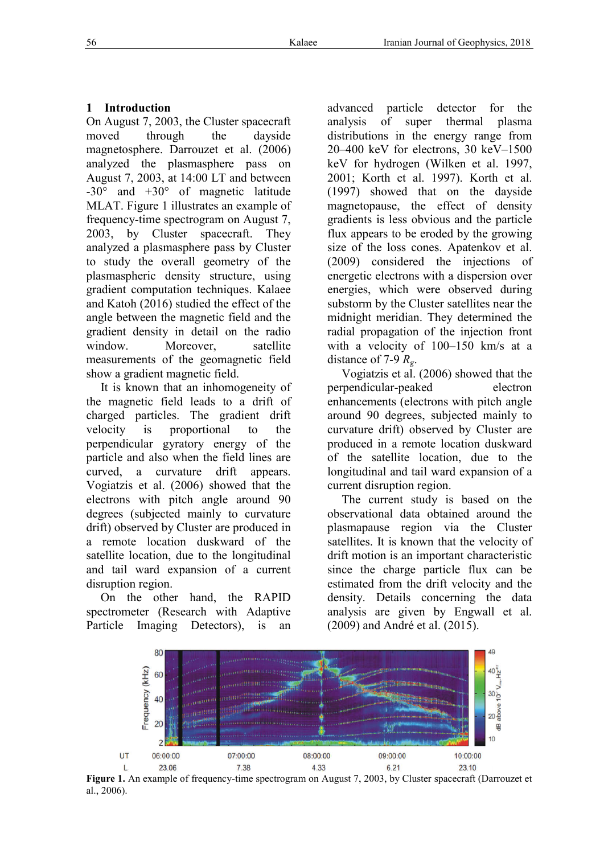# **1 Introduction**

On August 7, 2003, the Cluster spacecraft moved through the dayside magnetosphere. Darrouzet et al. (2006) analyzed the plasmasphere pass on August 7, 2003, at 14:00 LT and between  $-30^{\circ}$  and  $+30^{\circ}$  of magnetic latitude  $-30^{\circ}$  and  $+30^{\circ}$  of magnetic latitude<br>MLAT. Figure 1 illustrates an example of frequency-time spectrogram on August 7, frequency-time spectrogram on August 7,<br>2003, by Cluster spacecraft. They analyzed a plasmasphere pass by Cluster to study the overall geometry of the plasmaspheric density structure, using gradient computation techniques. Kalaee and Katoh (2016) studied the effect of the angle between the magnetic field and the gradient density in detail on the radio window Moreover satellite measurements of the geomagnetic field show a gradient magnetic field.

It is known that an inhomogeneity of the magnetic field leads to a drift of charged particles. The gradient drift velocity is proportional to the perpendicular gyratory energy of the particle and also when the field lines are curved, a curvature drift appears. Vogiatzis et al. (2006) showed that the electrons with pitch angle around 90 degrees (subjected mainly to curvature drift) observed by Cluster are produced in a remote location duskward of the satellite location, due to the longitudinal and tail ward expansion of a current disruption region.

On the other hand, the RAPID spectrometer (Research with Adaptive Particle Imaging Detectors), is an

advanced particle detector for the analysis of super distributions in the energy range from distributions in the energy range from<br>20–400 keV for electrons, 30 keV–1500 keV for hydrogen (Wilken et al. 1997, 2001; Korth et al. 1997). Korth et al. (1997) showed that on the dayside magnetopause, the effect of density gradients is less obvious and the particle flux appears to be eroded by the growing size of the loss cones. Apatenkov et al. (2009) considered the injections of energetic electrons with a dispersion over energies, which were observed during substorm by the Cluster satellites near the midnight meridian. They determined the radial propagation of the injection front energetic electrons with a dispersion over<br>energies, which were observed during<br>substorm by the Cluster satellites near the<br>midnight meridian. They determined the<br>radial propagation of the injection front<br>with a velocity o distance of 7-9 *Rg*. Journal of Geophysics, 2018<br>le detector for the<br>uper thermal plasma magnetopause, the effect of density<br>gradients is less obvious and the particle<br>flux appears to be eroded by the growing<br>size of the loss cones. Apatenkov et al.<br>(2009) considered the injections of

Vogiatzis et al. (2006) showed that the perpendicular-peaked electron enhancements (electrons with pitch angle around 90 degrees, subjected mainly to curvature drift) observed by Cluster are produced in a remote location duskward of the satellite location, due to the longitudinal and tail ward expansion of a current disruption region.

The current study is based on the observational data obtained around the plasmapause region via the Cluster satellites. It is known that the velocity of drift motion is an important characteristic since the charge particle flux can be estimated from the drift velocity and the density. Details concerning the data analysis are given by Engwall et al (2009) and André et al. (2015). perpendicular-peaked electron<br>enhancements (electrons with pitch angle<br>around 90 degrees, subjected mainly to<br>curvature drift) observed by Cluster are<br>produced in a remote location duskward<br>of the satellite location, due t



Figure 1. An example of frequency-time spectrogram on August 7, 2003, by Cluster spacecraft (Darrouzet et al., 2006).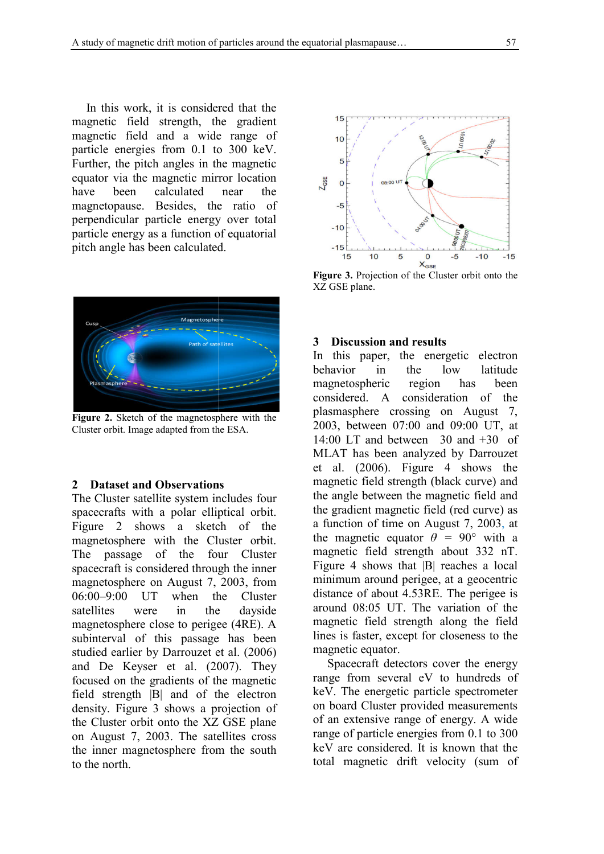In this work, it is considered that the magnetic field strength, the gradient magnetic field and a wide range of particle energies from 0.1 to 300 keV. Further, the pitch angles in the magnetic equator via the magnetic mirror location have been calculated near the magnetopause. Besides, the ratio of perpendicular particle energy over total particle energy as a function of equatorial pitch angle has been calculated.



**Figure 2.** Sketch of the magnetosphere with the Cluster orbit. Image adapted from the ESA.

### 2 Dataset and Observations

The Cluster satellite system includes four spacecrafts with a polar elliptical orbit. Figure 2 shows a sketch of the magnetosphere with the Cluster orbit. The passage of the four Cluster spacecraft is considered through the inner magnetosphere on August 7, 2003, from 06:00–9:00 UT when the Cluster satellites were in the dayside magnetosphere close to perigee (4RE) (4RE). A subinterval of this passage has been studied earlier by Darrouzet et al. (2006) and De Keyser et al. (2007) (2007). They focused on the gradients of the magnetic field strength |B| and of the electron density. Figure 3 shows a projection of density. Figure 3 shows a projection of<br>the Cluster orbit onto the XZ GSE plane on August 7, 2003. The satellites cross the inner magnetosphere from the south to the north. igure 2 shows a sketch of the<br>hagnetosphere with the Cluster orbit.<br>he passage of the four Cluster<br>pacecraft is considered through the inner<br>hagnetosphere on August 7, 2003, from



**Figure 3.** Projection of the Cluster orbit onto the XZ GSE plane.

#### **3 Discussion and results**

In this paper, the energetic electron behavior in the low latitude magnetospheric region has been considered. A consideration of the plasmasphere crossing on August 7 2003, between 07:00 and 09:00 UT, at 2003, between 07:00 and 09:00 UT, at 14:00 LT and between 30 and +30 of MLAT has been analyzed by Darrouzet et al.  $(2006)$ . Figure 4 shows the magnetic field strength (black curve) and magnetic field strength (black curve) and<br>the angle between the magnetic field and the gradient magnetic field (red curve) as a function of time on August 7 7, 2003, at the magnetic equator  $\theta = 90^{\circ}$  with a magnetic field strength about 332 nT. Figure 4 shows that  $|B|$  reaches a local minimum around perigee, at a geocentric distance of about 4.53RE. The perigee is around 08:05 UT. The variation of the magnetic field strength along the field lines is faster, except for closeness to the magnetic equator. Figure 3. Projection of the Cluster orbit onto the<br>XZ GSE plane.<br>3 **Discussion and results**<br>In this paper, the energetic electron<br>behavior in the low latitude<br>magnetospheric region has been<br>considered. A consideration of t minimum around perigee, at a geocentric<br>distance of about 4.53RE. The perigee is<br>around 08:05 UT. The variation of the<br>magnetic field strength along the field<br>lines is faster, except for closeness to the<br>magnetic equator.<br>

Spacecraft detectors cover the energy range from several eV to hundreds of keV. The energetic particle spectrometer on board Cluster provided measurements of an extensive range of energy. range of particle energies from 0.1 to 300 keV are considered. It is known that the total magnetic drift velocity (sum of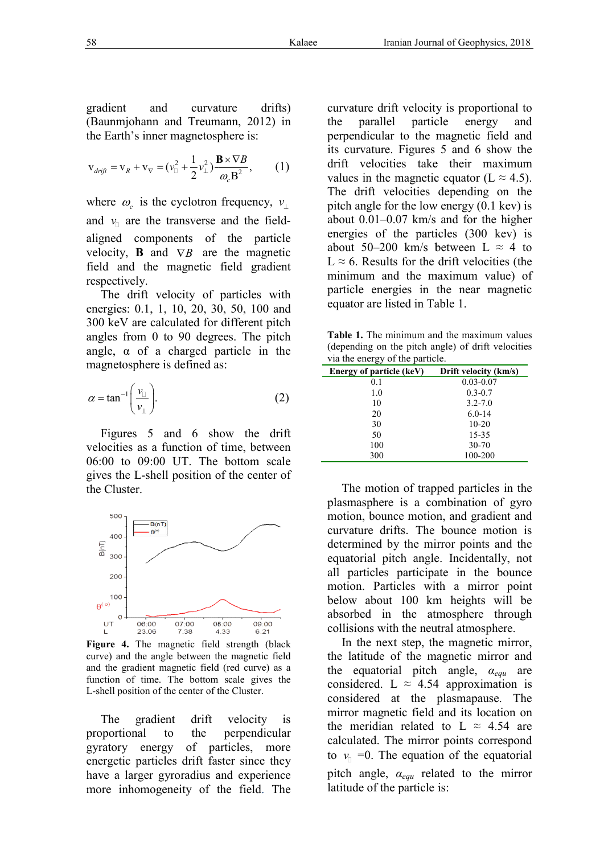gradient and curvature drifts) (Baunmjohann and Treumann, 2012) in the Earth's inner magnetosphere is:

$$
\mathbf{v}_{drift} = \mathbf{v}_R + \mathbf{v}_\nabla = (v_\square^2 + \frac{1}{2}v_\perp^2)\frac{\mathbf{B} \times \nabla B}{\omega_c \mathbf{B}^2},\qquad(1)
$$

where  $\omega_c$  is the cyclotron frequency,  $v_{\perp}$ and  $v_{\text{I}}$  are the transverse and the fieldaligned components of the particle velocity, **B** and  $\nabla B$  are the magnetic field and the magnetic field gradient respectively.

The drift velocity of particles with energies: 0.1, 1, 10, 20, 30, 50, 100 and 300 keV are calculated for different pitch angles from 0 to 90 degrees. The pitch angle, α of a charged particle in the magnetosphere is defined as:

$$
\alpha = \tan^{-1}\left(\frac{v_{\text{r}}}{v_{\text{r}}}\right). \tag{2}
$$

Figures 5 and 6 show the drift velocities as a function of time, between 06:00 to 09:00 UT. The bottom scale gives the L-shell position of the center of the Cluster.



**Figure 4.** The magnetic field strength (black curve) and the angle between the magnetic field and the gradient magnetic field (red curve) as a function of time. The bottom scale gives the L-shell position of the center of the Cluster.

The gradient drift velocity is proportional to the perpendicular gyratory energy of particle energetic particles drift faster since they have a larger gyroradius and experience more inhomogeneity of the field field. The

curvature drift velocity is proportional to the parallel particle energy and perpendicular to the magnetic field and its curvature. Figures 5 and 6 show the drift velocities take their maximum values in the magnetic equator (L  $\approx$  4.5). The drift velocities depending on the pitch angle for the low energy (0.1 kev) is The drift velocities depending on the pitch angle for the low energy (0.1 kev) is about 0.01–0.07 km/s and for the higher energies of the particles  $(300 \text{ keV})$  is about 50–200 km/s between  $L \approx 4$  to  $L \approx 6$ . Results for the drift velocities (the minimum and the maximum value) of particle energies in the near magnetic equator are listed in Table 1. Iranian Journal of Geophysics, velocity is proportions<br>the parallel particle energy<br>perpendicular to the magnetic field<br>its curvature. Figures 5 and 6 show<br>drift velocities take their maxin and the maximum value) of ergies in the near magnetic listed in Table 1.

**Table 1.** The minimum and the maximum values (depending on the pitch angle) of drift velocities via the energy of the particle. he minimum and the<br>
(; on the pitch angle)<br>
rgy of the particle.

| Energy of particle (keV) | Drift velocity (km/s) |
|--------------------------|-----------------------|
| 0.1                      | $0.03 - 0.07$         |
| 1.0                      | $0.3 - 0.7$           |
| 10                       | $3.2 - 7.0$           |
| 20                       | $6.0 - 14$            |
| 30                       | $10 - 20$             |
| 50                       | 15-35                 |
| 100                      | $30 - 70$             |
| 300                      | 100-200               |

The motion of trapped particles in the plasmasphere is a combination of gyro motion, bounce motion, and gradient and curvature drifts. The bounce motion is determined by the mirror points and the equatorial pitch angle. Incidentally, not all particles participate in the bounce motion. Particles with a mirror point below about 100 km heights will be absorbed in the atmosphere through collisions with the neutral atmosphere. tion of trapped particles in the<br>ere is a combination of gyro<br>unce motion, and gradient and<br>drifts. The bounce motion is<br>by the mirror points and the<br>pitch angle. Incidentally, not<br>es participate in the bounce<br>articles wit

In the next step, the magnetic mirror, the latitude of the magnetic mirror and collisions with the neutral atmosphere.<br>In the next step, the magnetic mirror,<br>the latitude of the magnetic mirror and<br>the equatorial pitch angle,  $\alpha_{equ}$  are considered. L  $\approx$  4.54 approximation is considered at the plasmapause. The mirror magnetic field and its location on the meridian related to L  $\approx$  4.54 are calculated. The mirror points correspond to  $v_{\text{I}} = 0$ . The equation of the equatorial pitch angle, *αequ* related to the mirror latitude of the particle is: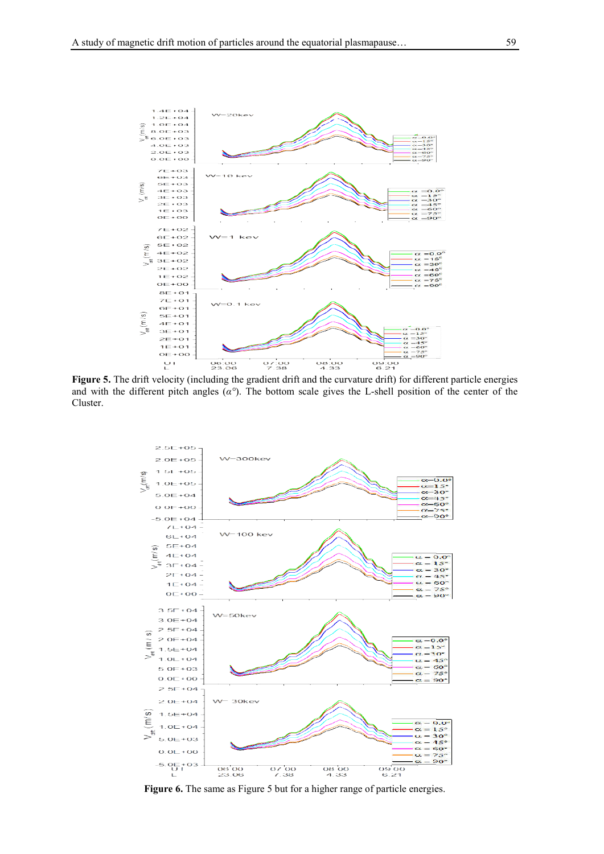

**Figure 5.** The drift velocity (including the gradient drift and the curvature drift) for different particle energies and with the different pitch angles ( *α°*). The bottom scale gives the L-shell position of the center of the Cluster.



Figure 6. The same as Figure 5 but for a higher range of particle energies.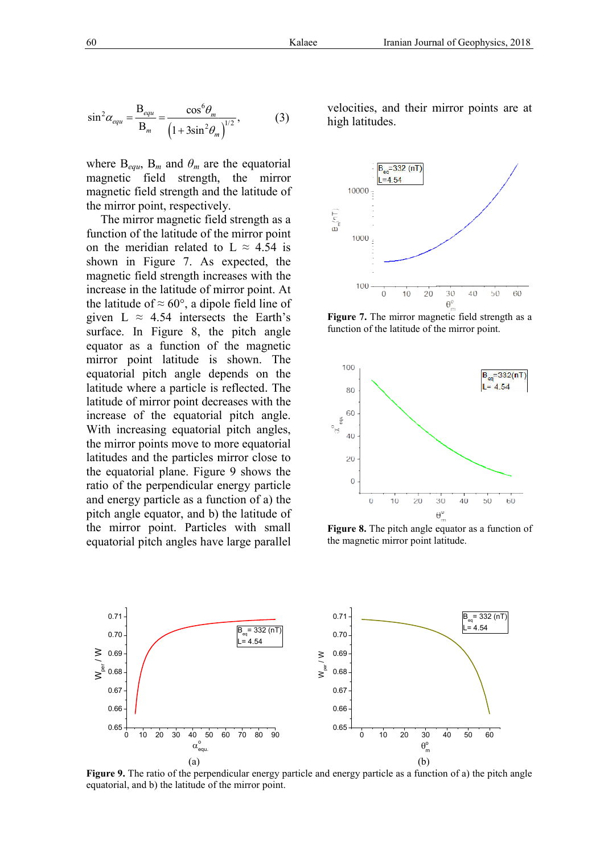$$
\sin^2 \alpha_{equ} = \frac{\mathbf{B}_{equ}}{\mathbf{B}_m} = \frac{\cos^6 \theta_m}{\left(1 + 3 \sin^2 \theta_m\right)^{1/2}},\tag{3}
$$

where  $B_{equ}$ ,  $B_m$  and  $\theta_m$  are the equatorial magnetic field strength, the mirror magnetic field strength and the latitude of the mirror point, respectively.

The mirror magnetic field strength as a function of the latitude of the mirror point on the meridian related to  $L \approx 4.54$  is shown in Figure 7. As expected, the magnetic field strength increases with the increase in the latitude of mirror point. At the latitude of  $\approx 60^{\circ}$ , a dipole field line of given L  $\approx$  4.54 intersects the Earth's surface. In Figure 8, the pitch angle equator as a function of the magnetic mirror point latitude is shown. The equatorial pitch angle depends on the latitude where a particle is reflected . The latitude of mirror point decreases with the increase of the equatorial pitch angle. With increasing equatorial pitch angles, the mirror points move to more equatorial latitudes and the particles mirror close to the equatorial plane. Figure 9 shows the ratio of the perpendicular energy particle and energy particle as a function of a) the pitch angle equator, and b) the latitude of the mirror point. Particles with small equatorial pitch angles have large parallel

velocities, and their mirror points are at high latitudes.



**Figure 7.** The mirror magnetic field strength as a function of the latitude of the mirror point.



**Figure 8.** The pitch angle equator as a function of the magnetic mirror point latitude.



**Figure 9.** The ratio of the perpendicular energy particle and energy particle as a function of a) the pitch angle equatorial, and b) the latitude of the mirror point.